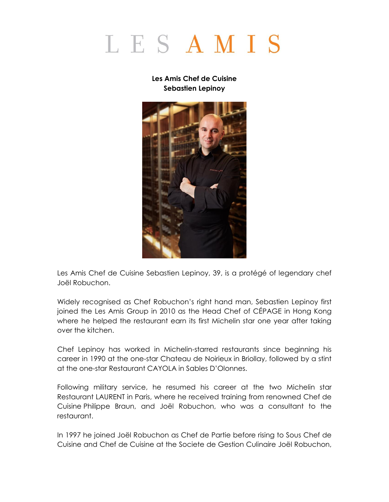## LESAMIS

**Les Amis Chef de Cuisine Sebastien Lepinoy**



Les Amis Chef de Cuisine Sebastien Lepinoy, 39, is a protégé of legendary chef Joël Robuchon.

Widely recognised as Chef Robuchon's right hand man, Sebastien Lepinoy first joined the Les Amis Group in 2010 as the Head Chef of CÉPAGE in Hong Kong where he helped the restaurant earn its first Michelin star one year after taking over the kitchen.

Chef Lepinoy has worked in Michelin-starred restaurants since beginning his career in 1990 at the one-star Chateau de Noirieux in Briollay, followed by a stint at the one-star Restaurant CAYOLA in Sables D'Olonnes.

Following military service, he resumed his career at the two Michelin star Restaurant LAURENT in Paris, where he received training from renowned Chef de Cuisine Philippe Braun, and Joël Robuchon, who was a consultant to the restaurant.

In 1997 he joined Joël Robuchon as Chef de Partie before rising to Sous Chef de Cuisine and Chef de Cuisine at the Societe de Gestion Culinaire Joël Robuchon,